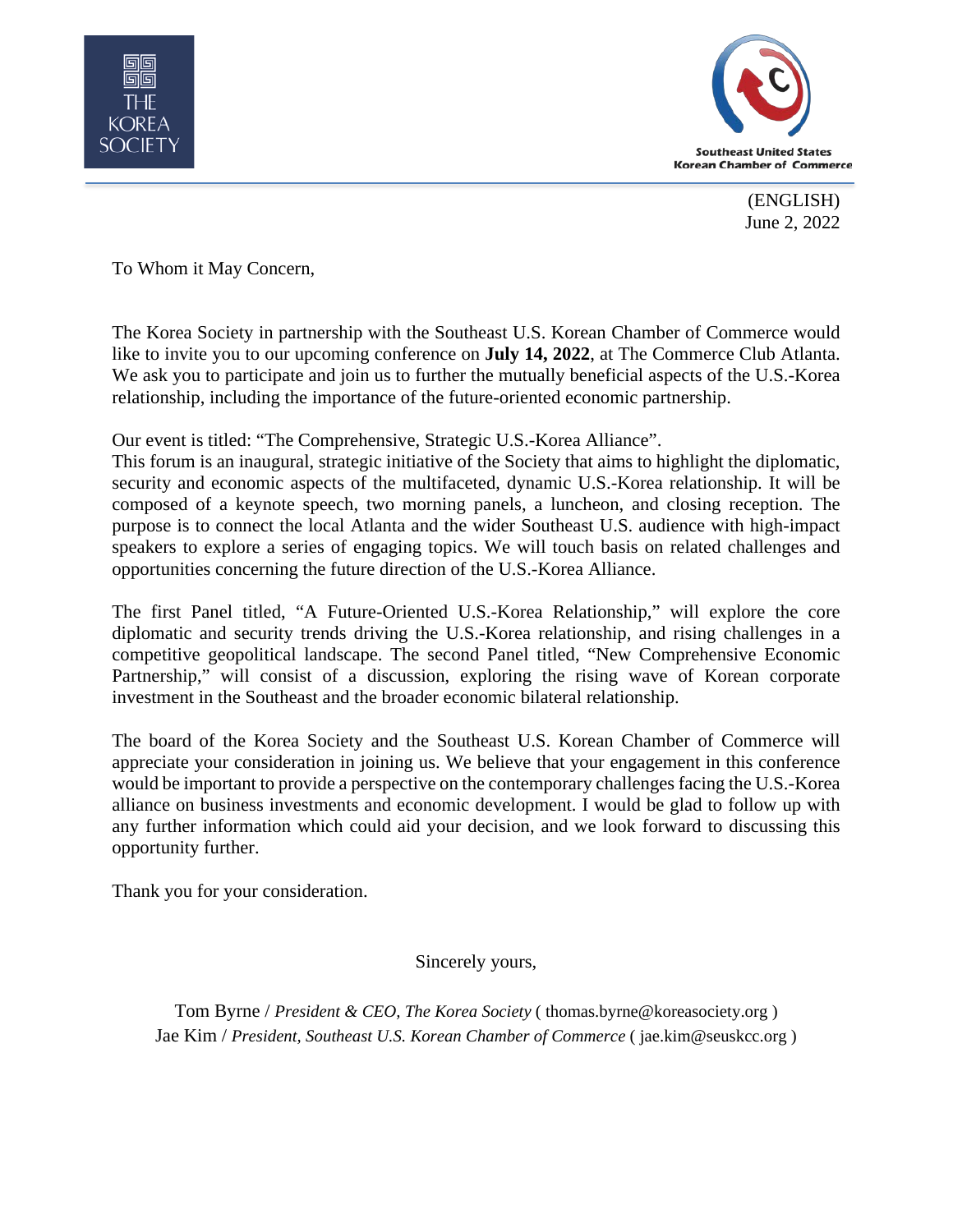



(ENGLISH) June 2, 2022

To Whom it May Concern,

The Korea Society in partnership with the Southeast U.S. Korean Chamber of Commerce would like to invite you to our upcoming conference on **July 14, 2022**, at The Commerce Club Atlanta. We ask you to participate and join us to further the mutually beneficial aspects of the U.S.-Korea relationship, including the importance of the future-oriented economic partnership.

Our event is titled: "The Comprehensive, Strategic U.S.-Korea Alliance".

This forum is an inaugural, strategic initiative of the Society that aims to highlight the diplomatic, security and economic aspects of the multifaceted, dynamic U.S.-Korea relationship. It will be composed of a keynote speech, two morning panels, a luncheon, and closing reception. The purpose is to connect the local Atlanta and the wider Southeast U.S. audience with high-impact speakers to explore a series of engaging topics. We will touch basis on related challenges and opportunities concerning the future direction of the U.S.-Korea Alliance.

The first Panel titled, "A Future-Oriented U.S.-Korea Relationship," will explore the core diplomatic and security trends driving the U.S.-Korea relationship, and rising challenges in a competitive geopolitical landscape. The second Panel titled, "New Comprehensive Economic Partnership," will consist of a discussion, exploring the rising wave of Korean corporate investment in the Southeast and the broader economic bilateral relationship.

The board of the Korea Society and the Southeast U.S. Korean Chamber of Commerce will appreciate your consideration in joining us. We believe that your engagement in this conference would be important to provide a perspective on the contemporary challenges facing the U.S.-Korea alliance on business investments and economic development. I would be glad to follow up with any further information which could aid your decision, and we look forward to discussing this opportunity further.

Thank you for your consideration.

Sincerely yours,

Tom Byrne / *President & CEO, The Korea Society* ( thomas.byrne@koreasociety.org ) Jae Kim / *President, Southeast U.S. Korean Chamber of Commerce* (jae.kim@seuskcc.org)